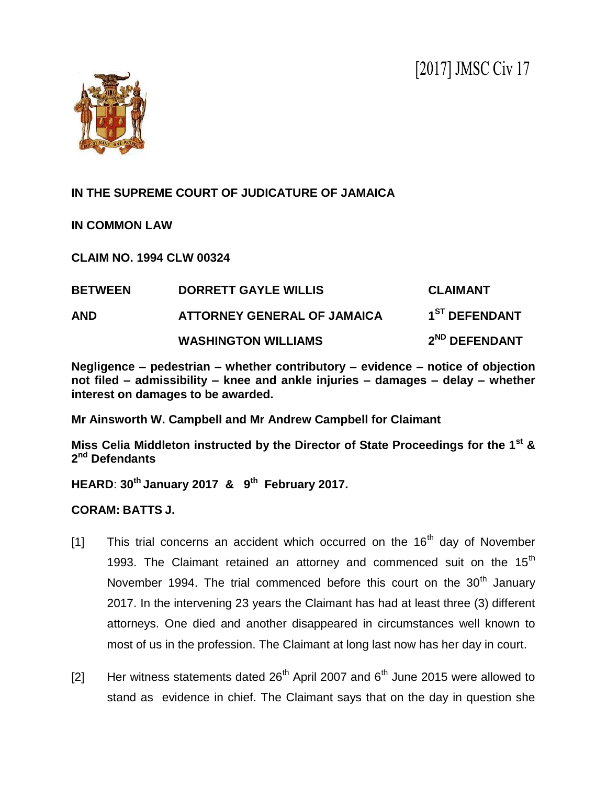

## **IN THE SUPREME COURT OF JUDICATURE OF JAMAICA**

**IN COMMON LAW**

**CLAIM NO. 1994 CLW 00324**

| <b>BETWEEN</b> | <b>DORRETT GAYLE WILLIS</b>        | <b>CLAIMANT</b>           |
|----------------|------------------------------------|---------------------------|
| <b>AND</b>     | <b>ATTORNEY GENERAL OF JAMAICA</b> | 1 <sup>ST</sup> DEFENDANT |
|                | <b>WASHINGTON WILLIAMS</b>         | 2 <sup>ND</sup> DEFENDANT |

**Negligence – pedestrian – whether contributory – evidence – notice of objection not filed – admissibility – knee and ankle injuries – damages – delay – whether interest on damages to be awarded.**

**Mr Ainsworth W. Campbell and Mr Andrew Campbell for Claimant**

**Miss Celia Middleton instructed by the Director of State Proceedings for the 1st & 2 nd Defendants**

**HEARD**: **30th January 2017 & 9 th February 2017.**

**CORAM: BATTS J.**

- [1] This trial concerns an accident which occurred on the  $16<sup>th</sup>$  day of November 1993. The Claimant retained an attorney and commenced suit on the  $15<sup>th</sup>$ November 1994. The trial commenced before this court on the  $30<sup>th</sup>$  January 2017. In the intervening 23 years the Claimant has had at least three (3) different attorneys. One died and another disappeared in circumstances well known to most of us in the profession. The Claimant at long last now has her day in court.
- [2] Her witness statements dated  $26<sup>th</sup>$  April 2007 and  $6<sup>th</sup>$  June 2015 were allowed to stand as evidence in chief. The Claimant says that on the day in question she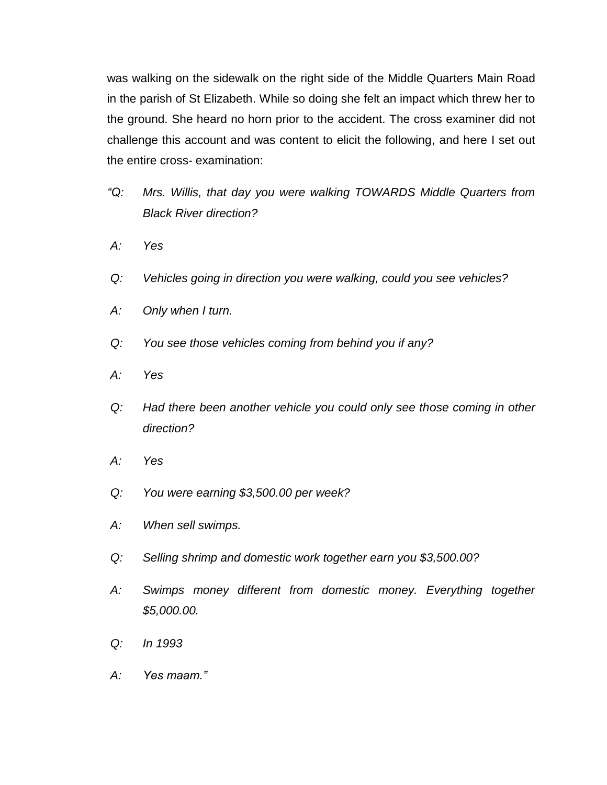was walking on the sidewalk on the right side of the Middle Quarters Main Road in the parish of St Elizabeth. While so doing she felt an impact which threw her to the ground. She heard no horn prior to the accident. The cross examiner did not challenge this account and was content to elicit the following, and here I set out the entire cross- examination:

- *"Q: Mrs. Willis, that day you were walking TOWARDS Middle Quarters from Black River direction?*
- *A: Yes*
- *Q: Vehicles going in direction you were walking, could you see vehicles?*
- *A: Only when I turn.*
- *Q: You see those vehicles coming from behind you if any?*
- *A: Yes*
- *Q: Had there been another vehicle you could only see those coming in other direction?*
- *A: Yes*
- *Q: You were earning \$3,500.00 per week?*
- *A: When sell swimps.*
- *Q: Selling shrimp and domestic work together earn you \$3,500.00?*
- *A: Swimps money different from domestic money. Everything together \$5,000.00.*
- *Q: In 1993*
- *A: Yes maam."*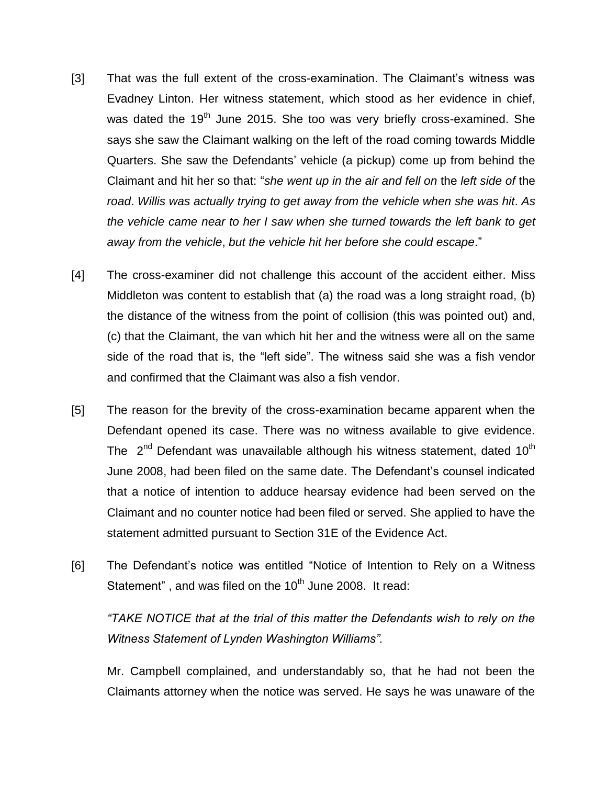- [3] That was the full extent of the cross-examination. The Claimant's witness was Evadney Linton. Her witness statement, which stood as her evidence in chief, was dated the 19<sup>th</sup> June 2015. She too was very briefly cross-examined. She says she saw the Claimant walking on the left of the road coming towards Middle Quarters. She saw the Defendants" vehicle (a pickup) come up from behind the Claimant and hit her so that: "*she went up in the air and fell on* the *left side of* the *road*. *Willis was actually trying to get away from the vehicle when she was hit*. *As the vehicle came near to her I saw when she turned towards the left bank to get away from the vehicle*, *but the vehicle hit her before she could escape*."
- [4] The cross-examiner did not challenge this account of the accident either. Miss Middleton was content to establish that (a) the road was a long straight road, (b) the distance of the witness from the point of collision (this was pointed out) and, (c) that the Claimant, the van which hit her and the witness were all on the same side of the road that is, the "left side". The witness said she was a fish vendor and confirmed that the Claimant was also a fish vendor.
- [5] The reason for the brevity of the cross-examination became apparent when the Defendant opened its case. There was no witness available to give evidence. The  $2^{nd}$  Defendant was unavailable although his witness statement, dated 10<sup>th</sup> June 2008, had been filed on the same date. The Defendant"s counsel indicated that a notice of intention to adduce hearsay evidence had been served on the Claimant and no counter notice had been filed or served. She applied to have the statement admitted pursuant to Section 31E of the Evidence Act.
- [6] The Defendant"s notice was entitled "Notice of Intention to Rely on a Witness Statement", and was filed on the  $10<sup>th</sup>$  June 2008. It read:

*"TAKE NOTICE that at the trial of this matter the Defendants wish to rely on the Witness Statement of Lynden Washington Williams".*

Mr. Campbell complained, and understandably so, that he had not been the Claimants attorney when the notice was served. He says he was unaware of the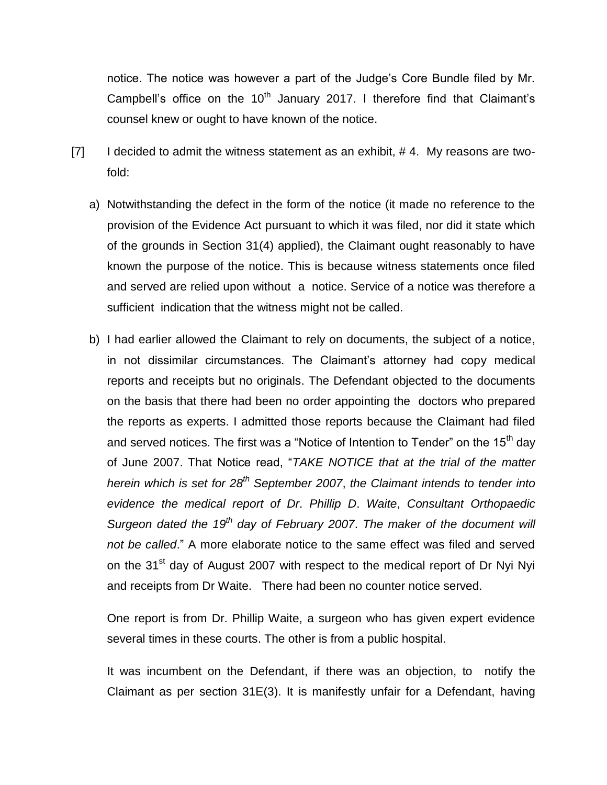notice. The notice was however a part of the Judge"s Core Bundle filed by Mr. Campbell's office on the  $10<sup>th</sup>$  January 2017. I therefore find that Claimant's counsel knew or ought to have known of the notice.

- $[7]$  I decided to admit the witness statement as an exhibit, #4. My reasons are twofold:
	- a) Notwithstanding the defect in the form of the notice (it made no reference to the provision of the Evidence Act pursuant to which it was filed, nor did it state which of the grounds in Section 31(4) applied), the Claimant ought reasonably to have known the purpose of the notice. This is because witness statements once filed and served are relied upon without a notice. Service of a notice was therefore a sufficient indication that the witness might not be called.
	- b) I had earlier allowed the Claimant to rely on documents, the subject of a notice, in not dissimilar circumstances. The Claimant"s attorney had copy medical reports and receipts but no originals. The Defendant objected to the documents on the basis that there had been no order appointing the doctors who prepared the reports as experts. I admitted those reports because the Claimant had filed and served notices. The first was a "Notice of Intention to Tender" on the  $15<sup>th</sup>$  day of June 2007. That Notice read, "*TAKE NOTICE that at the trial of the matter herein which is set for 28th September 2007*, *the Claimant intends to tender into evidence the medical report of Dr*. *Phillip D*. *Waite*, *Consultant Orthopaedic Surgeon dated the 19th day of February 2007*. *The maker of the document will not be called*." A more elaborate notice to the same effect was filed and served on the 31<sup>st</sup> day of August 2007 with respect to the medical report of Dr Nyi Nyi and receipts from Dr Waite. There had been no counter notice served.

One report is from Dr. Phillip Waite, a surgeon who has given expert evidence several times in these courts. The other is from a public hospital.

It was incumbent on the Defendant, if there was an objection, to notify the Claimant as per section 31E(3). It is manifestly unfair for a Defendant, having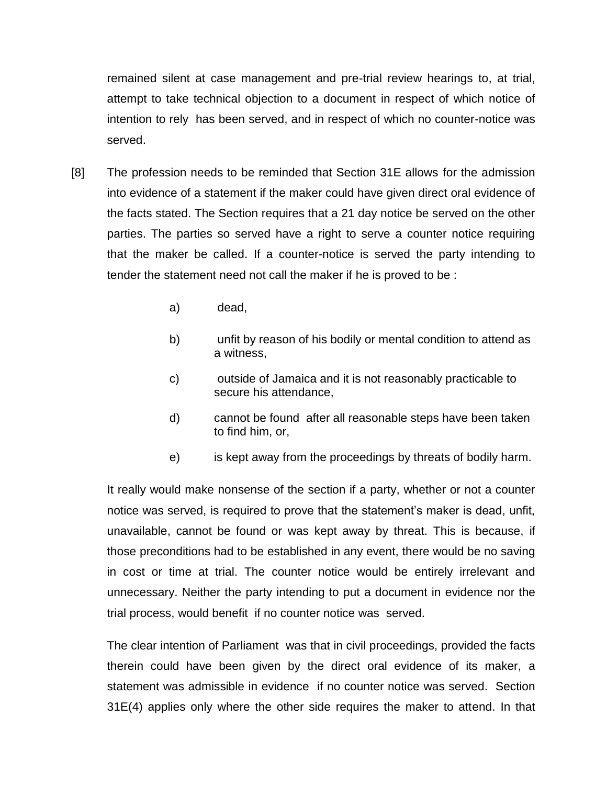remained silent at case management and pre-trial review hearings to, at trial, attempt to take technical objection to a document in respect of which notice of intention to rely has been served, and in respect of which no counter-notice was served.

- [8] The profession needs to be reminded that Section 31E allows for the admission into evidence of a statement if the maker could have given direct oral evidence of the facts stated. The Section requires that a 21 day notice be served on the other parties. The parties so served have a right to serve a counter notice requiring that the maker be called. If a counter-notice is served the party intending to tender the statement need not call the maker if he is proved to be :
	- a) dead,
	- b) unfit by reason of his bodily or mental condition to attend as a witness,
	- c) outside of Jamaica and it is not reasonably practicable to secure his attendance,
	- d) cannot be found after all reasonable steps have been taken to find him, or,
	- e) is kept away from the proceedings by threats of bodily harm.

It really would make nonsense of the section if a party, whether or not a counter notice was served, is required to prove that the statement"s maker is dead, unfit, unavailable, cannot be found or was kept away by threat. This is because, if those preconditions had to be established in any event, there would be no saving in cost or time at trial. The counter notice would be entirely irrelevant and unnecessary. Neither the party intending to put a document in evidence nor the trial process, would benefit if no counter notice was served.

The clear intention of Parliament was that in civil proceedings, provided the facts therein could have been given by the direct oral evidence of its maker, a statement was admissible in evidence if no counter notice was served. Section 31E(4) applies only where the other side requires the maker to attend. In that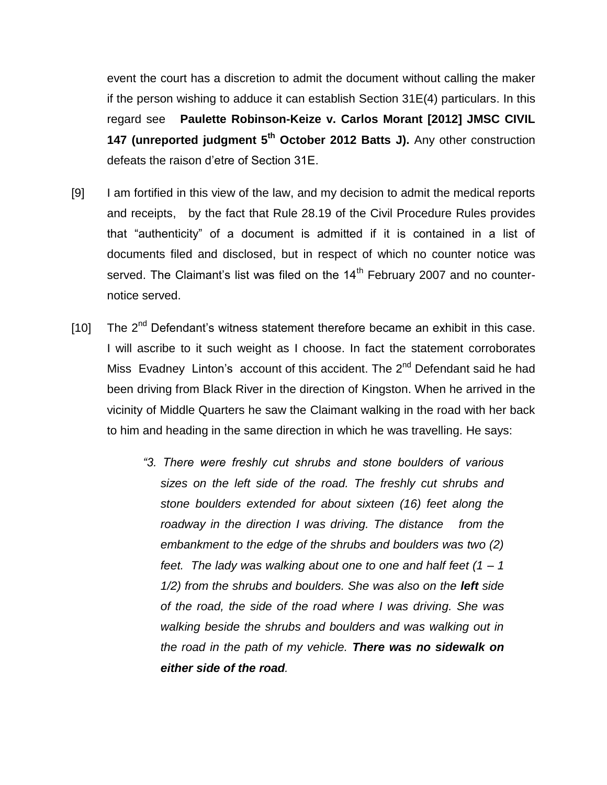event the court has a discretion to admit the document without calling the maker if the person wishing to adduce it can establish Section 31E(4) particulars. In this regard see **Paulette Robinson-Keize v. Carlos Morant [2012] JMSC CIVIL**  147 (unreported judgment 5<sup>th</sup> October 2012 Batts J). Any other construction defeats the raison d"etre of Section 31E.

- [9] I am fortified in this view of the law, and my decision to admit the medical reports and receipts, by the fact that Rule 28.19 of the Civil Procedure Rules provides that "authenticity" of a document is admitted if it is contained in a list of documents filed and disclosed, but in respect of which no counter notice was served. The Claimant's list was filed on the  $14<sup>th</sup>$  February 2007 and no counternotice served.
- [10] The  $2^{nd}$  Defendant's witness statement therefore became an exhibit in this case. I will ascribe to it such weight as I choose. In fact the statement corroborates Miss Evadney Linton's account of this accident. The 2<sup>nd</sup> Defendant said he had been driving from Black River in the direction of Kingston. When he arrived in the vicinity of Middle Quarters he saw the Claimant walking in the road with her back to him and heading in the same direction in which he was travelling. He says:
	- *"3. There were freshly cut shrubs and stone boulders of various sizes on the left side of the road. The freshly cut shrubs and stone boulders extended for about sixteen (16) feet along the roadway in the direction I was driving. The distance from the embankment to the edge of the shrubs and boulders was two (2) feet. The lady was walking about one to one and half feet (1 – 1*  1/2) from the shrubs and boulders. She was also on the **left** side *of the road, the side of the road where I was driving. She was walking beside the shrubs and boulders and was walking out in the road in the path of my vehicle. There was no sidewalk on either side of the road.*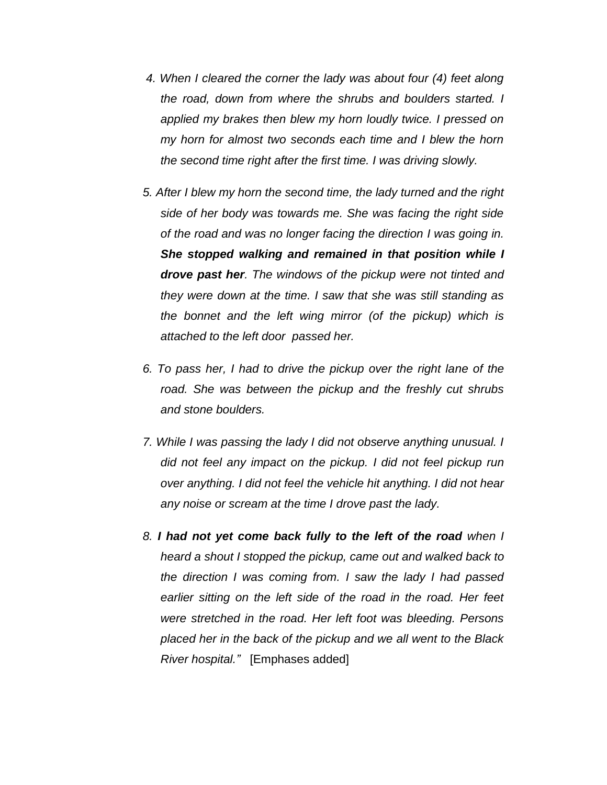- *4. When I cleared the corner the lady was about four (4) feet along the road, down from where the shrubs and boulders started. I applied my brakes then blew my horn loudly twice. I pressed on my horn for almost two seconds each time and I blew the horn the second time right after the first time. I was driving slowly.*
- *5. After I blew my horn the second time, the lady turned and the right side of her body was towards me. She was facing the right side of the road and was no longer facing the direction I was going in. She stopped walking and remained in that position while I drove past her. The windows of the pickup were not tinted and they were down at the time. I saw that she was still standing as the bonnet and the left wing mirror (of the pickup) which is attached to the left door passed her.*
- *6. To pass her, I had to drive the pickup over the right lane of the road. She was between the pickup and the freshly cut shrubs and stone boulders.*
- *7. While I was passing the lady I did not observe anything unusual. I did not feel any impact on the pickup. I did not feel pickup run over anything. I did not feel the vehicle hit anything. I did not hear any noise or scream at the time I drove past the lady.*
- *8. I had not yet come back fully to the left of the road when I heard a shout I stopped the pickup, came out and walked back to the direction I was coming from. I saw the lady I had passed earlier sitting on the left side of the road in the road. Her feet were stretched in the road. Her left foot was bleeding. Persons placed her in the back of the pickup and we all went to the Black River hospital."* [Emphases added]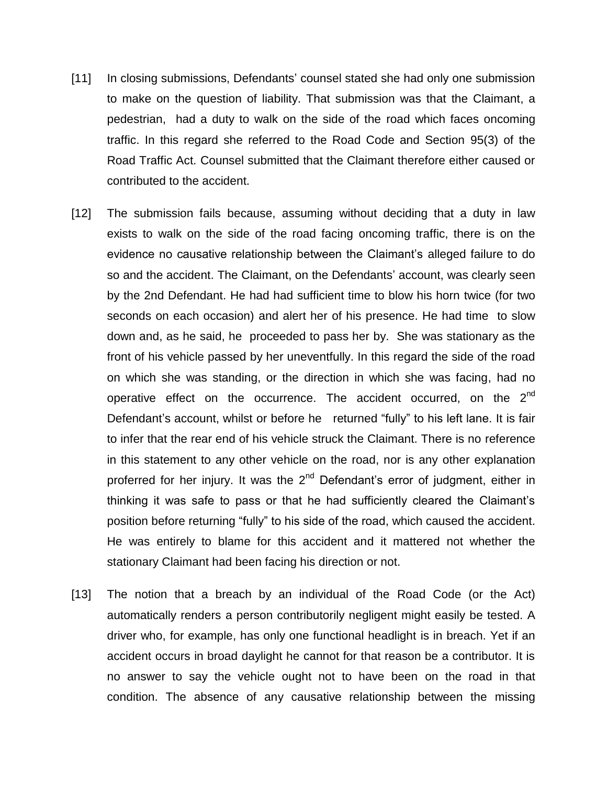- [11] In closing submissions, Defendants" counsel stated she had only one submission to make on the question of liability. That submission was that the Claimant, a pedestrian, had a duty to walk on the side of the road which faces oncoming traffic. In this regard she referred to the Road Code and Section 95(3) of the Road Traffic Act. Counsel submitted that the Claimant therefore either caused or contributed to the accident.
- [12] The submission fails because, assuming without deciding that a duty in law exists to walk on the side of the road facing oncoming traffic, there is on the evidence no causative relationship between the Claimant"s alleged failure to do so and the accident. The Claimant, on the Defendants' account, was clearly seen by the 2nd Defendant. He had had sufficient time to blow his horn twice (for two seconds on each occasion) and alert her of his presence. He had time to slow down and, as he said, he proceeded to pass her by. She was stationary as the front of his vehicle passed by her uneventfully. In this regard the side of the road on which she was standing, or the direction in which she was facing, had no operative effect on the occurrence. The accident occurred, on the 2<sup>nd</sup> Defendant's account, whilst or before he returned "fully" to his left lane. It is fair to infer that the rear end of his vehicle struck the Claimant. There is no reference in this statement to any other vehicle on the road, nor is any other explanation proferred for her injury. It was the 2<sup>nd</sup> Defendant's error of judgment, either in thinking it was safe to pass or that he had sufficiently cleared the Claimant"s position before returning "fully" to his side of the road, which caused the accident. He was entirely to blame for this accident and it mattered not whether the stationary Claimant had been facing his direction or not.
- [13] The notion that a breach by an individual of the Road Code (or the Act) automatically renders a person contributorily negligent might easily be tested. A driver who, for example, has only one functional headlight is in breach. Yet if an accident occurs in broad daylight he cannot for that reason be a contributor. It is no answer to say the vehicle ought not to have been on the road in that condition. The absence of any causative relationship between the missing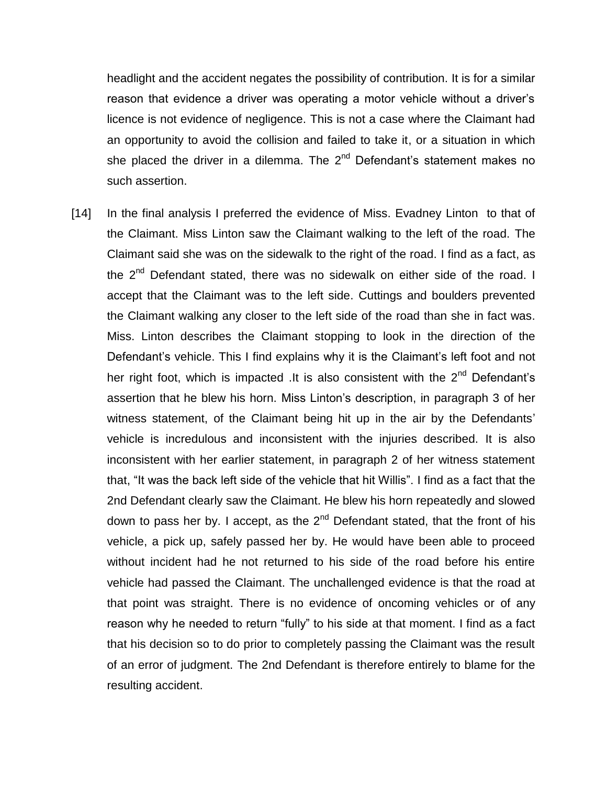headlight and the accident negates the possibility of contribution. It is for a similar reason that evidence a driver was operating a motor vehicle without a driver"s licence is not evidence of negligence. This is not a case where the Claimant had an opportunity to avoid the collision and failed to take it, or a situation in which she placed the driver in a dilemma. The  $2<sup>nd</sup>$  Defendant's statement makes no such assertion.

[14] In the final analysis I preferred the evidence of Miss. Evadney Linton to that of the Claimant. Miss Linton saw the Claimant walking to the left of the road. The Claimant said she was on the sidewalk to the right of the road. I find as a fact, as the 2<sup>nd</sup> Defendant stated, there was no sidewalk on either side of the road. I accept that the Claimant was to the left side. Cuttings and boulders prevented the Claimant walking any closer to the left side of the road than she in fact was. Miss. Linton describes the Claimant stopping to look in the direction of the Defendant's vehicle. This I find explains why it is the Claimant's left foot and not her right foot, which is impacted .It is also consistent with the 2<sup>nd</sup> Defendant's assertion that he blew his horn. Miss Linton"s description, in paragraph 3 of her witness statement, of the Claimant being hit up in the air by the Defendants' vehicle is incredulous and inconsistent with the injuries described. It is also inconsistent with her earlier statement, in paragraph 2 of her witness statement that, "It was the back left side of the vehicle that hit Willis". I find as a fact that the 2nd Defendant clearly saw the Claimant. He blew his horn repeatedly and slowed down to pass her by. I accept, as the  $2<sup>nd</sup>$  Defendant stated, that the front of his vehicle, a pick up, safely passed her by. He would have been able to proceed without incident had he not returned to his side of the road before his entire vehicle had passed the Claimant. The unchallenged evidence is that the road at that point was straight. There is no evidence of oncoming vehicles or of any reason why he needed to return "fully" to his side at that moment. I find as a fact that his decision so to do prior to completely passing the Claimant was the result of an error of judgment. The 2nd Defendant is therefore entirely to blame for the resulting accident.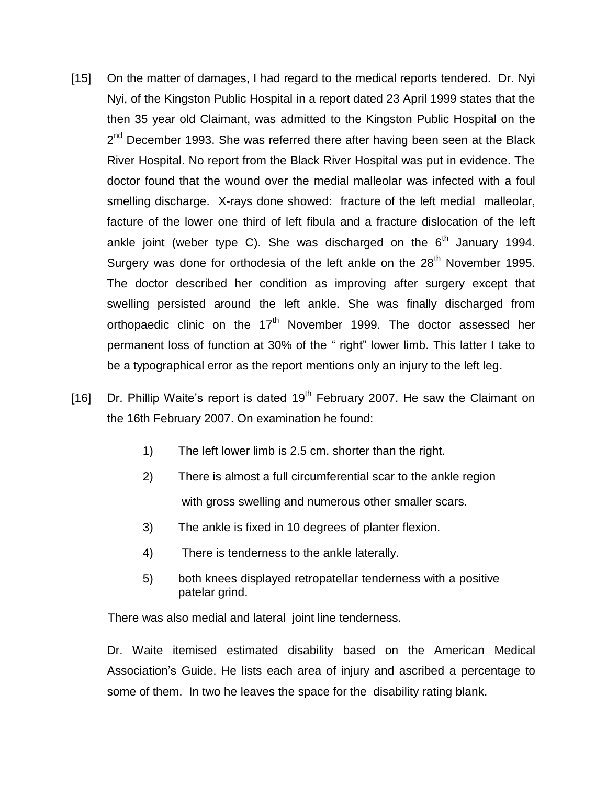- [15] On the matter of damages, I had regard to the medical reports tendered. Dr. Nyi Nyi, of the Kingston Public Hospital in a report dated 23 April 1999 states that the then 35 year old Claimant, was admitted to the Kingston Public Hospital on the 2<sup>nd</sup> December 1993. She was referred there after having been seen at the Black River Hospital. No report from the Black River Hospital was put in evidence. The doctor found that the wound over the medial malleolar was infected with a foul smelling discharge. X-rays done showed: fracture of the left medial malleolar, facture of the lower one third of left fibula and a fracture dislocation of the left ankle joint (weber type C). She was discharged on the  $6<sup>th</sup>$  January 1994. Surgery was done for orthodesia of the left ankle on the 28<sup>th</sup> November 1995. The doctor described her condition as improving after surgery except that swelling persisted around the left ankle. She was finally discharged from orthopaedic clinic on the 17<sup>th</sup> November 1999. The doctor assessed her permanent loss of function at 30% of the " right" lower limb. This latter I take to be a typographical error as the report mentions only an injury to the left leg.
- [16] Dr. Phillip Waite's report is dated  $19<sup>th</sup>$  February 2007. He saw the Claimant on the 16th February 2007. On examination he found:
	- 1) The left lower limb is 2.5 cm. shorter than the right.
	- 2) There is almost a full circumferential scar to the ankle region with gross swelling and numerous other smaller scars.
	- 3) The ankle is fixed in 10 degrees of planter flexion.
	- 4) There is tenderness to the ankle laterally.
	- 5) both knees displayed retropatellar tenderness with a positive patelar grind.

There was also medial and lateral joint line tenderness.

Dr. Waite itemised estimated disability based on the American Medical Association"s Guide. He lists each area of injury and ascribed a percentage to some of them. In two he leaves the space for the disability rating blank.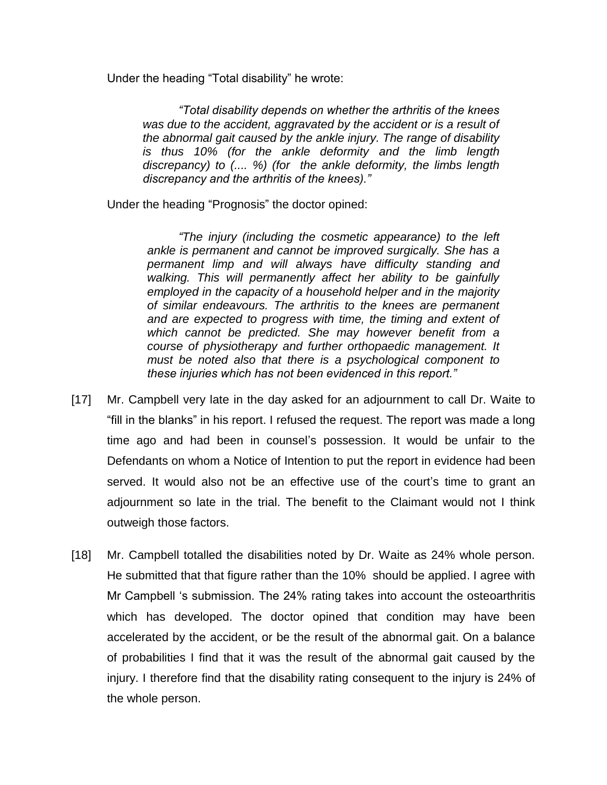Under the heading "Total disability" he wrote:

*"Total disability depends on whether the arthritis of the knees was due to the accident, aggravated by the accident or is a result of the abnormal gait caused by the ankle injury. The range of disability is thus 10% (for the ankle deformity and the limb length discrepancy) to (.... %) (for the ankle deformity, the limbs length discrepancy and the arthritis of the knees)."* 

Under the heading "Prognosis" the doctor opined:

*"The injury (including the cosmetic appearance) to the left ankle is permanent and cannot be improved surgically. She has a permanent limp and will always have difficulty standing and walking. This will permanently affect her ability to be gainfully employed in the capacity of a household helper and in the majority of similar endeavours. The arthritis to the knees are permanent and are expected to progress with time, the timing and extent of which cannot be predicted. She may however benefit from a course of physiotherapy and further orthopaedic management. It must be noted also that there is a psychological component to these injuries which has not been evidenced in this report."*

- [17] Mr. Campbell very late in the day asked for an adjournment to call Dr. Waite to "fill in the blanks" in his report. I refused the request. The report was made a long time ago and had been in counsel"s possession. It would be unfair to the Defendants on whom a Notice of Intention to put the report in evidence had been served. It would also not be an effective use of the court's time to grant an adjournment so late in the trial. The benefit to the Claimant would not I think outweigh those factors.
- [18] Mr. Campbell totalled the disabilities noted by Dr. Waite as 24% whole person. He submitted that that figure rather than the 10% should be applied. I agree with Mr Campbell "s submission. The 24% rating takes into account the osteoarthritis which has developed. The doctor opined that condition may have been accelerated by the accident, or be the result of the abnormal gait. On a balance of probabilities I find that it was the result of the abnormal gait caused by the injury. I therefore find that the disability rating consequent to the injury is 24% of the whole person.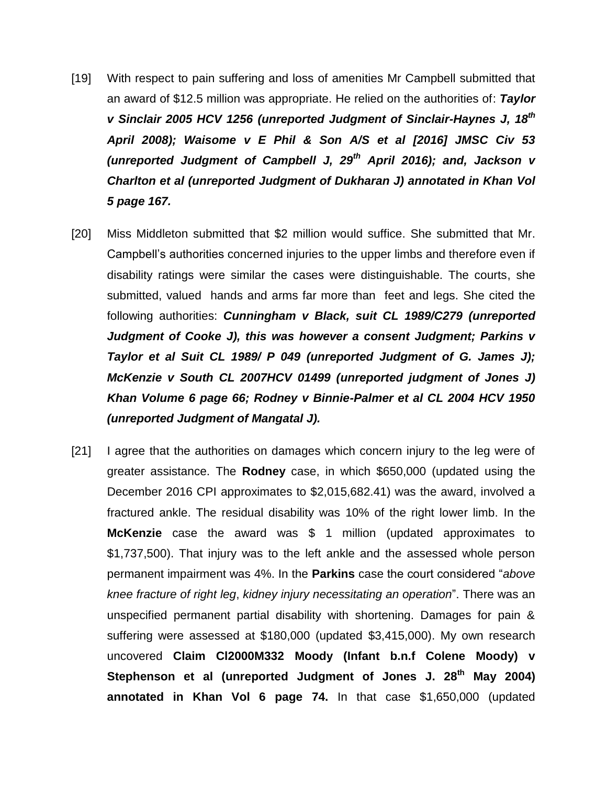- [19] With respect to pain suffering and loss of amenities Mr Campbell submitted that an award of \$12.5 million was appropriate. He relied on the authorities of: *Taylor v Sinclair 2005 HCV 1256 (unreported Judgment of Sinclair-Haynes J, 18th April 2008); Waisome v E Phil & Son A/S et al [2016] JMSC Civ 53 (unreported Judgment of Campbell J, 29th April 2016); and, Jackson v Charlton et al (unreported Judgment of Dukharan J) annotated in Khan Vol 5 page 167.*
- [20] Miss Middleton submitted that \$2 million would suffice. She submitted that Mr. Campbell"s authorities concerned injuries to the upper limbs and therefore even if disability ratings were similar the cases were distinguishable. The courts, she submitted, valued hands and arms far more than feet and legs. She cited the following authorities: *Cunningham v Black, suit CL 1989/C279 (unreported Judgment of Cooke J), this was however a consent Judgment; Parkins v Taylor et al Suit CL 1989/ P 049 (unreported Judgment of G. James J); McKenzie v South CL 2007HCV 01499 (unreported judgment of Jones J) Khan Volume 6 page 66; Rodney v Binnie-Palmer et al CL 2004 HCV 1950 (unreported Judgment of Mangatal J).*
- [21] I agree that the authorities on damages which concern injury to the leg were of greater assistance. The **Rodney** case, in which \$650,000 (updated using the December 2016 CPI approximates to \$2,015,682.41) was the award, involved a fractured ankle. The residual disability was 10% of the right lower limb. In the **McKenzie** case the award was \$ 1 million (updated approximates to \$1,737,500). That injury was to the left ankle and the assessed whole person permanent impairment was 4%. In the **Parkins** case the court considered "*above knee fracture of right leg*, *kidney injury necessitating an operation*". There was an unspecified permanent partial disability with shortening. Damages for pain & suffering were assessed at \$180,000 (updated \$3,415,000). My own research uncovered **Claim Cl2000M332 Moody (Infant b.n.f Colene Moody) v Stephenson et al (unreported Judgment of Jones J. 28th May 2004) annotated in Khan Vol 6 page 74.** In that case \$1,650,000 (updated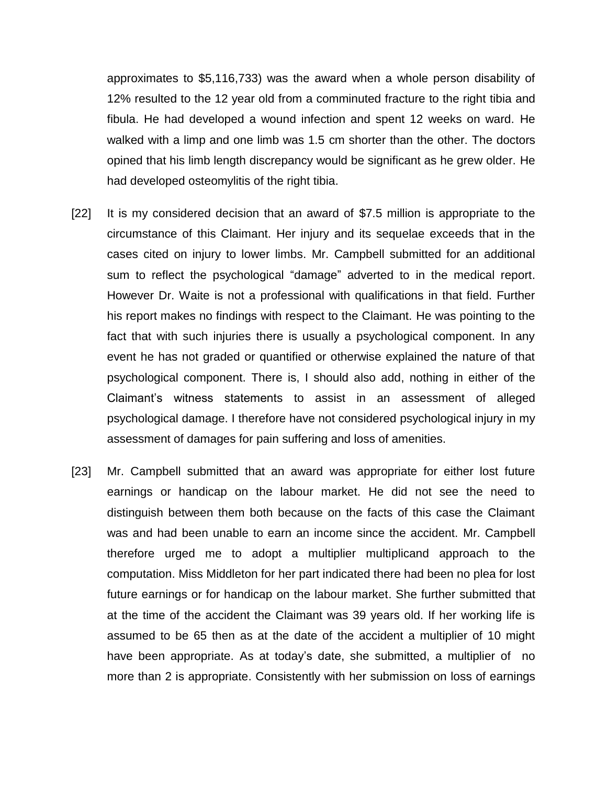approximates to \$5,116,733) was the award when a whole person disability of 12% resulted to the 12 year old from a comminuted fracture to the right tibia and fibula. He had developed a wound infection and spent 12 weeks on ward. He walked with a limp and one limb was 1.5 cm shorter than the other. The doctors opined that his limb length discrepancy would be significant as he grew older. He had developed osteomylitis of the right tibia.

- [22] It is my considered decision that an award of \$7.5 million is appropriate to the circumstance of this Claimant. Her injury and its sequelae exceeds that in the cases cited on injury to lower limbs. Mr. Campbell submitted for an additional sum to reflect the psychological "damage" adverted to in the medical report. However Dr. Waite is not a professional with qualifications in that field. Further his report makes no findings with respect to the Claimant. He was pointing to the fact that with such injuries there is usually a psychological component. In any event he has not graded or quantified or otherwise explained the nature of that psychological component. There is, I should also add, nothing in either of the Claimant"s witness statements to assist in an assessment of alleged psychological damage. I therefore have not considered psychological injury in my assessment of damages for pain suffering and loss of amenities.
- [23] Mr. Campbell submitted that an award was appropriate for either lost future earnings or handicap on the labour market. He did not see the need to distinguish between them both because on the facts of this case the Claimant was and had been unable to earn an income since the accident. Mr. Campbell therefore urged me to adopt a multiplier multiplicand approach to the computation. Miss Middleton for her part indicated there had been no plea for lost future earnings or for handicap on the labour market. She further submitted that at the time of the accident the Claimant was 39 years old. If her working life is assumed to be 65 then as at the date of the accident a multiplier of 10 might have been appropriate. As at today's date, she submitted, a multiplier of no more than 2 is appropriate. Consistently with her submission on loss of earnings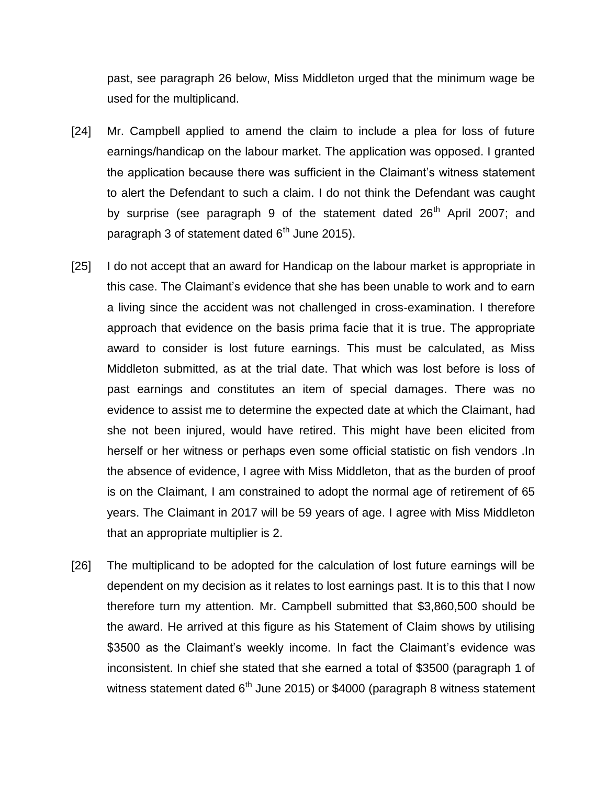past, see paragraph 26 below, Miss Middleton urged that the minimum wage be used for the multiplicand.

- [24] Mr. Campbell applied to amend the claim to include a plea for loss of future earnings/handicap on the labour market. The application was opposed. I granted the application because there was sufficient in the Claimant"s witness statement to alert the Defendant to such a claim. I do not think the Defendant was caught by surprise (see paragraph 9 of the statement dated  $26<sup>th</sup>$  April 2007; and paragraph 3 of statement dated  $6<sup>th</sup>$  June 2015).
- [25] I do not accept that an award for Handicap on the labour market is appropriate in this case. The Claimant"s evidence that she has been unable to work and to earn a living since the accident was not challenged in cross-examination. I therefore approach that evidence on the basis prima facie that it is true. The appropriate award to consider is lost future earnings. This must be calculated, as Miss Middleton submitted, as at the trial date. That which was lost before is loss of past earnings and constitutes an item of special damages. There was no evidence to assist me to determine the expected date at which the Claimant, had she not been injured, would have retired. This might have been elicited from herself or her witness or perhaps even some official statistic on fish vendors .In the absence of evidence, I agree with Miss Middleton, that as the burden of proof is on the Claimant, I am constrained to adopt the normal age of retirement of 65 years. The Claimant in 2017 will be 59 years of age. I agree with Miss Middleton that an appropriate multiplier is 2.
- [26] The multiplicand to be adopted for the calculation of lost future earnings will be dependent on my decision as it relates to lost earnings past. It is to this that I now therefore turn my attention. Mr. Campbell submitted that \$3,860,500 should be the award. He arrived at this figure as his Statement of Claim shows by utilising \$3500 as the Claimant's weekly income. In fact the Claimant's evidence was inconsistent. In chief she stated that she earned a total of \$3500 (paragraph 1 of witness statement dated  $6<sup>th</sup>$  June 2015) or \$4000 (paragraph 8 witness statement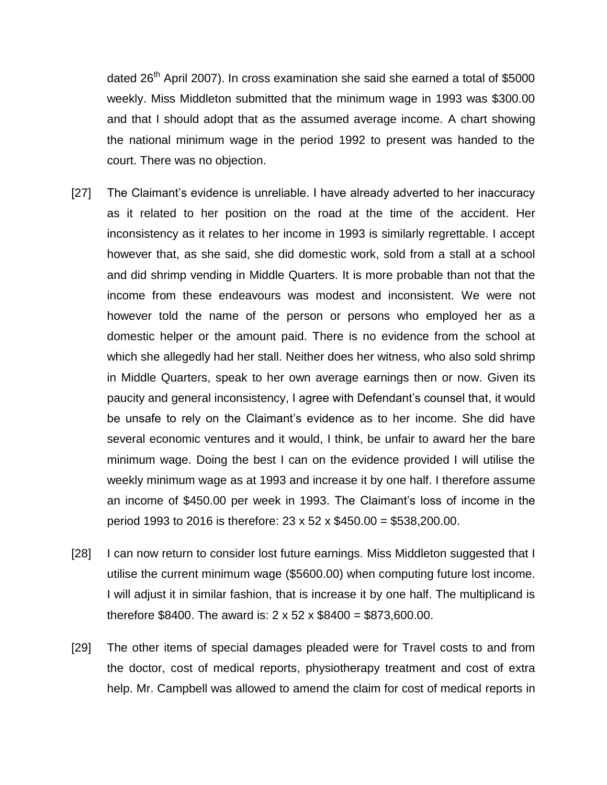dated  $26<sup>th</sup>$  April 2007). In cross examination she said she earned a total of \$5000 weekly. Miss Middleton submitted that the minimum wage in 1993 was \$300.00 and that I should adopt that as the assumed average income. A chart showing the national minimum wage in the period 1992 to present was handed to the court. There was no objection.

- [27] The Claimant"s evidence is unreliable. I have already adverted to her inaccuracy as it related to her position on the road at the time of the accident. Her inconsistency as it relates to her income in 1993 is similarly regrettable. I accept however that, as she said, she did domestic work, sold from a stall at a school and did shrimp vending in Middle Quarters. It is more probable than not that the income from these endeavours was modest and inconsistent. We were not however told the name of the person or persons who employed her as a domestic helper or the amount paid. There is no evidence from the school at which she allegedly had her stall. Neither does her witness, who also sold shrimp in Middle Quarters, speak to her own average earnings then or now. Given its paucity and general inconsistency, I agree with Defendant"s counsel that, it would be unsafe to rely on the Claimant"s evidence as to her income. She did have several economic ventures and it would, I think, be unfair to award her the bare minimum wage. Doing the best I can on the evidence provided I will utilise the weekly minimum wage as at 1993 and increase it by one half. I therefore assume an income of \$450.00 per week in 1993. The Claimant"s loss of income in the period 1993 to 2016 is therefore: 23 x 52 x \$450.00 = \$538,200.00.
- [28] I can now return to consider lost future earnings. Miss Middleton suggested that I utilise the current minimum wage (\$5600.00) when computing future lost income. I will adjust it in similar fashion, that is increase it by one half. The multiplicand is therefore \$8400. The award is: 2 x 52 x \$8400 = \$873,600.00.
- [29] The other items of special damages pleaded were for Travel costs to and from the doctor, cost of medical reports, physiotherapy treatment and cost of extra help. Mr. Campbell was allowed to amend the claim for cost of medical reports in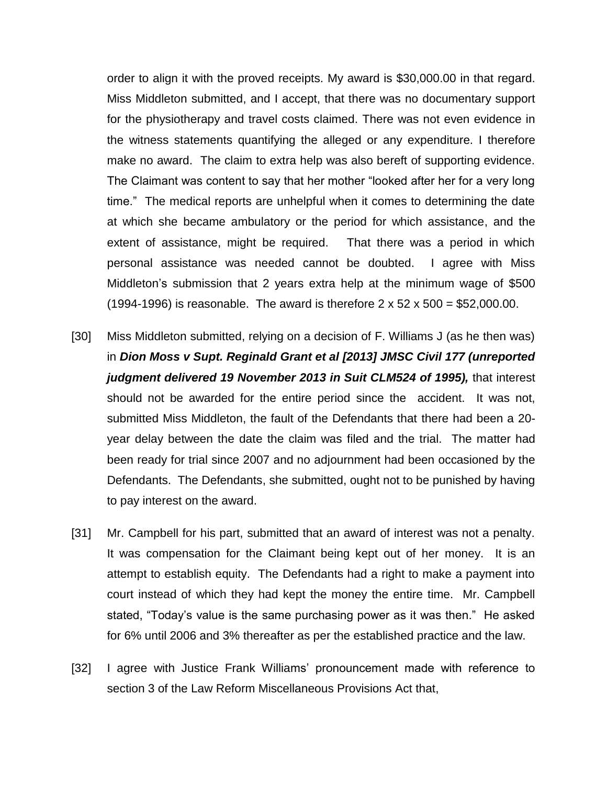order to align it with the proved receipts. My award is \$30,000.00 in that regard. Miss Middleton submitted, and I accept, that there was no documentary support for the physiotherapy and travel costs claimed. There was not even evidence in the witness statements quantifying the alleged or any expenditure. I therefore make no award. The claim to extra help was also bereft of supporting evidence. The Claimant was content to say that her mother "looked after her for a very long time." The medical reports are unhelpful when it comes to determining the date at which she became ambulatory or the period for which assistance, and the extent of assistance, might be required. That there was a period in which personal assistance was needed cannot be doubted. I agree with Miss Middleton"s submission that 2 years extra help at the minimum wage of \$500 (1994-1996) is reasonable. The award is therefore  $2 \times 52 \times 500 = $52,000.00$ .

- [30] Miss Middleton submitted, relying on a decision of F. Williams J (as he then was) in *Dion Moss v Supt. Reginald Grant et al [2013] JMSC Civil 177 (unreported judgment delivered 19 November 2013 in Suit CLM524 of 1995),* that interest should not be awarded for the entire period since the accident. It was not, submitted Miss Middleton, the fault of the Defendants that there had been a 20 year delay between the date the claim was filed and the trial. The matter had been ready for trial since 2007 and no adjournment had been occasioned by the Defendants. The Defendants, she submitted, ought not to be punished by having to pay interest on the award.
- [31] Mr. Campbell for his part, submitted that an award of interest was not a penalty. It was compensation for the Claimant being kept out of her money. It is an attempt to establish equity. The Defendants had a right to make a payment into court instead of which they had kept the money the entire time. Mr. Campbell stated, "Today"s value is the same purchasing power as it was then." He asked for 6% until 2006 and 3% thereafter as per the established practice and the law.
- [32] I agree with Justice Frank Williams' pronouncement made with reference to section 3 of the Law Reform Miscellaneous Provisions Act that,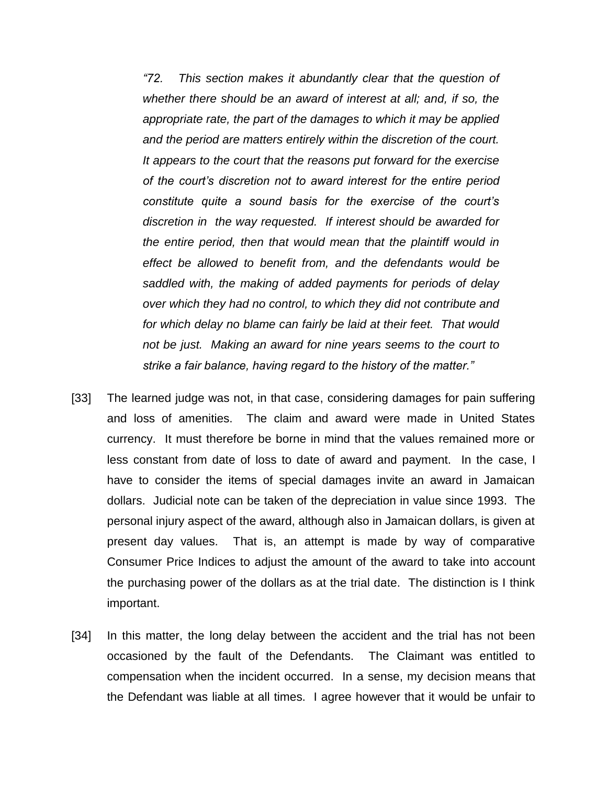*"72. This section makes it abundantly clear that the question of whether there should be an award of interest at all; and, if so, the appropriate rate, the part of the damages to which it may be applied and the period are matters entirely within the discretion of the court. It appears to the court that the reasons put forward for the exercise of the court's discretion not to award interest for the entire period constitute quite a sound basis for the exercise of the court's discretion in the way requested. If interest should be awarded for the entire period, then that would mean that the plaintiff would in effect be allowed to benefit from, and the defendants would be saddled with, the making of added payments for periods of delay over which they had no control, to which they did not contribute and for which delay no blame can fairly be laid at their feet. That would not be just. Making an award for nine years seems to the court to strike a fair balance, having regard to the history of the matter."*

- [33] The learned judge was not, in that case, considering damages for pain suffering and loss of amenities. The claim and award were made in United States currency. It must therefore be borne in mind that the values remained more or less constant from date of loss to date of award and payment. In the case, I have to consider the items of special damages invite an award in Jamaican dollars. Judicial note can be taken of the depreciation in value since 1993. The personal injury aspect of the award, although also in Jamaican dollars, is given at present day values. That is, an attempt is made by way of comparative Consumer Price Indices to adjust the amount of the award to take into account the purchasing power of the dollars as at the trial date. The distinction is I think important.
- [34] In this matter, the long delay between the accident and the trial has not been occasioned by the fault of the Defendants. The Claimant was entitled to compensation when the incident occurred. In a sense, my decision means that the Defendant was liable at all times. I agree however that it would be unfair to